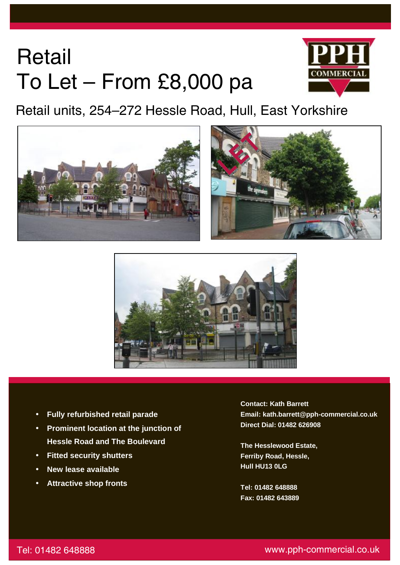# **Retail** To Let – From £8,000 pa



Retail units, 254–272 Hessle Road, Hull, East Yorkshire







- **Fully refurbished retail parade**
- **Hessle Road and The Boulevard**  • **Prominent location at the junction of**
- **Fitted security shutters**
- **New lease available**

j

• **Attractive shop fronts** 

**Contact: Kath Barrett Email: kath.barrett@pph-commercial.co.uk Direct Dial: 01482 626908** 

**The Hesslewood Estate, Ferriby Road, Hessle, Hull HU13 0LG** 

**Tel: 01482 648888 Fax: 01482 643889**